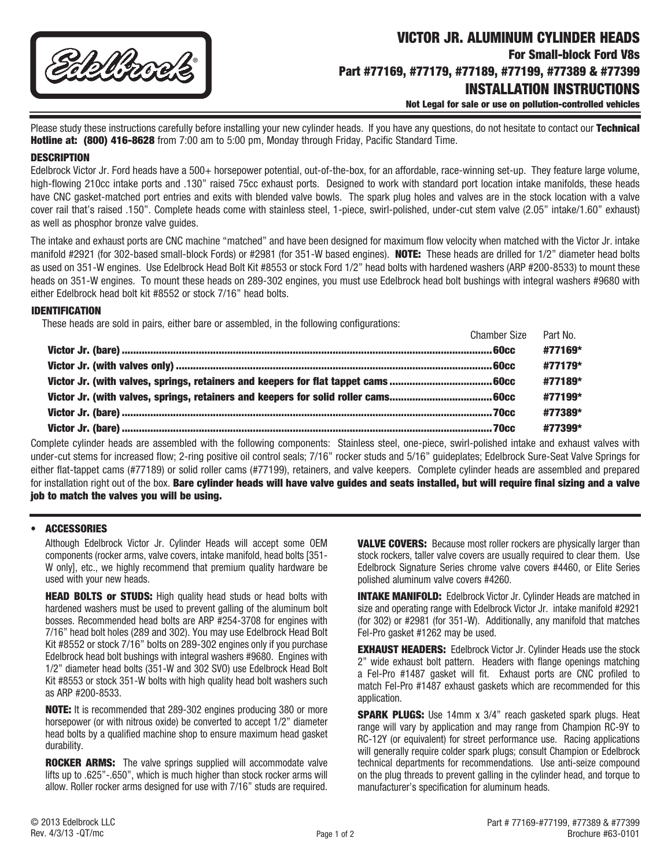|--|

# Victor Jr. ALUMINUM CYLINDER HEADS For Small-block Ford V8s Part #77169, #77179, #77189, #77199, #77389 & #77399 INSTALLATION INSTRUCTIONS

Not Legal for sale or use on pollution-controlled vehicles

Please study these instructions carefully before installing your new cylinder heads. If you have any questions, do not hesitate to contact our Technical **Hotline at: (800) 416-8628** from 7:00 am to 5:00 pm, Monday through Friday, Pacific Standard Time.

## **DESCRIPTION**

Edelbrock Victor Jr. Ford heads have a 500+ horsepower potential, out-of-the-box, for an affordable, race-winning set-up. They feature large volume, high-flowing 210cc intake ports and .130" raised 75cc exhaust ports. Designed to work with standard port location intake manifolds, these heads have CNC gasket-matched port entries and exits with blended valve bowls. The spark plug holes and valves are in the stock location with a valve cover rail that's raised .150". Complete heads come with stainless steel, 1-piece, swirl-polished, under-cut stem valve (2.05" intake/1.60" exhaust) as well as phosphor bronze valve guides.

The intake and exhaust ports are CNC machine "matched" and have been designed for maximum flow velocity when matched with the Victor Jr. intake manifold #2921 (for 302-based small-block Fords) or #2981 (for 351-W based engines). NOTE: These heads are drilled for 1/2" diameter head bolts as used on 351-W engines. Use Edelbrock Head Bolt Kit #8553 or stock Ford 1/2" head bolts with hardened washers (ARP #200-8533) to mount these heads on 351-W engines. To mount these heads on 289-302 engines, you must use Edelbrock head bolt bushings with integral washers #9680 with either Edelbrock head bolt kit #8552 or stock 7/16" head bolts.

#### IDENTIFICATION

These heads are sold in pairs, either bare or assembled, in the following configurations:

| Chamber Size Part No. |         |
|-----------------------|---------|
|                       | #77169* |
|                       | #77179* |
|                       | #77189* |
|                       | #77199* |
|                       | #77389* |
|                       | #77399* |

Complete cylinder heads are assembled with the following components: Stainless steel, one-piece, swirl-polished intake and exhaust valves with under-cut stems for increased flow; 2-ring positive oil control seals; 7/16" rocker studs and 5/16" guideplates; Edelbrock Sure-Seat Valve Springs for either flat-tappet cams (#77189) or solid roller cams (#77199), retainers, and valve keepers. Complete cylinder heads are assembled and prepared for installation right out of the box. Bare cylinder heads will have valve guides and seats installed, but will require final sizing and a valve job to match the valves you will be using.

#### • ACCESSORIES

Although Edelbrock Victor Jr. Cylinder Heads will accept some OEM components (rocker arms, valve covers, intake manifold, head bolts [351- W only, etc., we highly recommend that premium quality hardware be used with your new heads.

HEAD BOLTS or STUDS: High quality head studs or head bolts with hardened washers must be used to prevent galling of the aluminum bolt bosses. Recommended head bolts are ARP #254-3708 for engines with 7/16" head bolt holes (289 and 302). You may use Edelbrock Head Bolt Kit #8552 or stock 7/16" bolts on 289-302 engines only if you purchase Edelbrock head bolt bushings with integral washers #9680. Engines with 1/2" diameter head bolts (351-W and 302 SVO) use Edelbrock Head Bolt Kit #8553 or stock 351-W bolts with high quality head bolt washers such as ARP #200-8533.

NOTE: It is recommended that 289-302 engines producing 380 or more horsepower (or with nitrous oxide) be converted to accept 1/2" diameter head bolts by a qualified machine shop to ensure maximum head gasket durability.

**ROCKER ARMS:** The valve springs supplied will accommodate valve lifts up to .625"-.650", which is much higher than stock rocker arms will allow. Roller rocker arms designed for use with 7/16" studs are required.

**VALVE COVERS:** Because most roller rockers are physically larger than stock rockers, taller valve covers are usually required to clear them. Use Edelbrock Signature Series chrome valve covers #4460, or Elite Series polished aluminum valve covers #4260.

 INTAKE MANIFOLD: Edelbrock Victor Jr. Cylinder Heads are matched in size and operating range with Edelbrock Victor Jr. intake manifold #2921 (for 302) or #2981 (for 351-W). Additionally, any manifold that matches Fel-Pro gasket #1262 may be used.

**EXHAUST HEADERS:** Edelbrock Victor Jr. Cylinder Heads use the stock 2" wide exhaust bolt pattern. Headers with flange openings matching a Fel-Pro #1487 gasket will fit. Exhaust ports are CNC profiled to match Fel-Pro #1487 exhaust gaskets which are recommended for this application.

**SPARK PLUGS:** Use 14mm x 3/4" reach gasketed spark plugs. Heat range will vary by application and may range from Champion RC-9Y to RC-12Y (or equivalent) for street performance use. Racing applications will generally require colder spark plugs; consult Champion or Edelbrock technical departments for recommendations. Use anti-seize compound on the plug threads to prevent galling in the cylinder head, and torque to manufacturer's specification for aluminum heads.